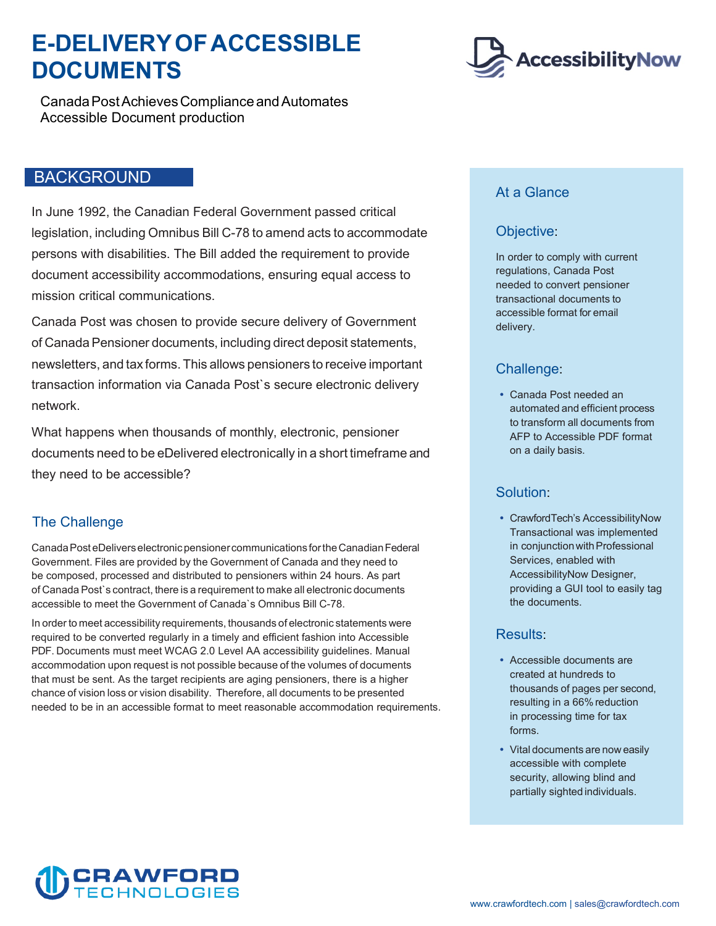## **E-DELIVERYOF ACCESSIBLE DOCUMENTS**

 CanadaPostAchievesCompliance and Automates Accessible Document production

### BACKGROUND

 legislation, including Omnibus Bill C-78 to amend acts to accommodate In June 1992, the Canadian Federal Government passed critical persons with disabilities. The Bill added the requirement to provide document accessibility accommodations, ensuring equal access to mission critical communications.

 of Canada Pensioner documents, including direct deposit statements, newsletters, and tax forms. This allows pensioners to receive important Canada Post was chosen to provide secure delivery of Government transaction information via Canada Post`s secure electronic delivery network.

 What happens when thousands of monthly, electronic, pensioner documents need to be eDelivered electronically in a short timeframe and they need to be accessible?

#### The Challenge

 CanadaPost eDeliverselectronic pensionercommunications for theCanadianFederal Government. Files are provided by the Government of Canada and they need to of Canada Post`s contract, there is a requirement to make all electronic documents accessible to meet the Government of Canada`s Omnibus Bill C-78. be composed, processed and distributed to pensioners within 24 hours. As part

 In order to meet accessibility requirements, thousands of electronic statements were PDF. Documents must meet WCAG 2.0 Level AA accessibility guidelines. Manual accommodation upon request is not possible because of the volumes of documents chance of vision loss or vision disability. Therefore, all documents to be presented required to be converted regularly in a timely and efficient fashion into Accessible that must be sent. As the target recipients are aging pensioners, there is a higher needed to be in an accessible format to meet reasonable accommodation requirements.



#### At a Glance

#### Objective:

 transactional documents to accessible format for email In order to comply with current regulations, Canada Post needed to convert pensioner delivery.

#### Challenge:

 automated and efficient process to transform all documents from Canada Post needed an AFP to Accessible PDF format on a daily basis.

#### Solution:

 CrawfordTech's AccessibilityNow in conjunction with Professional Transactional was implemented Services, enabled with AccessibilityNow Designer, providing a GUI tool to easily tag the documents.

#### Results:

- thousands of pages per second, Accessible documents are created at hundreds to resulting in a 66% reduction in processing time for tax forms.
- Vital documents are now easily accessible with complete security, allowing blind and partially sighted individuals.

# CRAWFORD